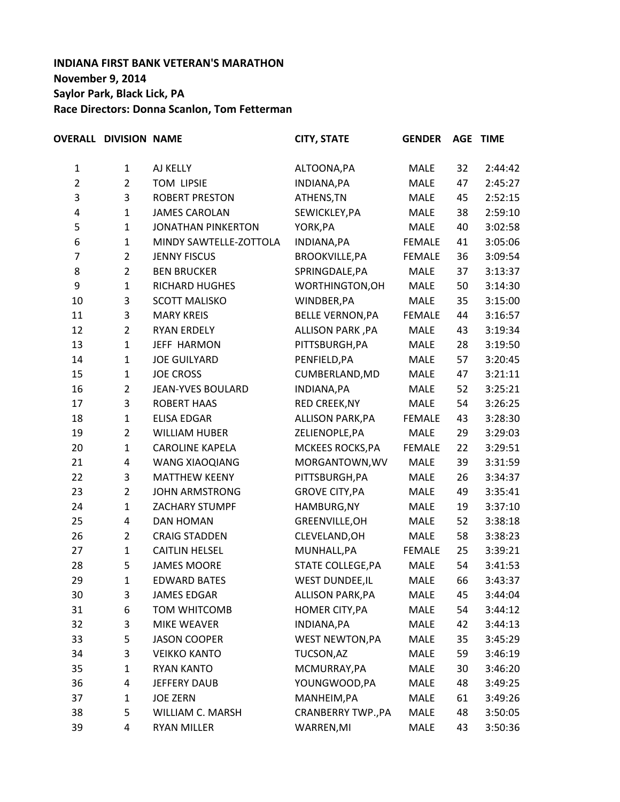# **INDIANA FIRST BANK VETERAN'S MARATHON November 9, 2014 Saylor Park, Black Lick, PA Race Directors: Donna Scanlon, Tom Fetterman**

|                | <b>OVERALL DIVISION NAME</b> |                           | <b>CITY, STATE</b>      | <b>GENDER</b> |    | <b>AGE TIME</b> |
|----------------|------------------------------|---------------------------|-------------------------|---------------|----|-----------------|
| $\mathbf{1}$   | $\mathbf{1}$                 | AJ KELLY                  | ALTOONA, PA             | <b>MALE</b>   | 32 | 2:44:42         |
| $\overline{c}$ | $\overline{2}$               | <b>TOM LIPSIE</b>         | INDIANA, PA             | <b>MALE</b>   | 47 | 2:45:27         |
| 3              | 3                            | <b>ROBERT PRESTON</b>     | ATHENS, TN              | <b>MALE</b>   | 45 | 2:52:15         |
| 4              | $\mathbf{1}$                 | <b>JAMES CAROLAN</b>      | SEWICKLEY, PA           | <b>MALE</b>   | 38 | 2:59:10         |
| 5              | $\mathbf{1}$                 | <b>JONATHAN PINKERTON</b> | YORK, PA                | <b>MALE</b>   | 40 | 3:02:58         |
| 6              | $\mathbf{1}$                 | MINDY SAWTELLE-ZOTTOLA    | INDIANA, PA             | <b>FEMALE</b> | 41 | 3:05:06         |
| $\overline{7}$ | $\overline{2}$               | <b>JENNY FISCUS</b>       | <b>BROOKVILLE, PA</b>   | <b>FEMALE</b> | 36 | 3:09:54         |
| 8              | $\overline{2}$               | <b>BEN BRUCKER</b>        | SPRINGDALE, PA          | <b>MALE</b>   | 37 | 3:13:37         |
| 9              | $\mathbf{1}$                 | RICHARD HUGHES            | WORTHINGTON, OH         | <b>MALE</b>   | 50 | 3:14:30         |
| 10             | 3                            | <b>SCOTT MALISKO</b>      | WINDBER, PA             | <b>MALE</b>   | 35 | 3:15:00         |
| 11             | 3                            | <b>MARY KREIS</b>         | <b>BELLE VERNON, PA</b> | <b>FEMALE</b> | 44 | 3:16:57         |
| 12             | $\overline{2}$               | <b>RYAN ERDELY</b>        | ALLISON PARK, PA        | <b>MALE</b>   | 43 | 3:19:34         |
| 13             | $\mathbf{1}$                 | <b>JEFF HARMON</b>        | PITTSBURGH, PA          | <b>MALE</b>   | 28 | 3:19:50         |
| 14             | $\mathbf{1}$                 | <b>JOE GUILYARD</b>       | PENFIELD, PA            | <b>MALE</b>   | 57 | 3:20:45         |
| 15             | $\mathbf 1$                  | <b>JOE CROSS</b>          | CUMBERLAND, MD          | <b>MALE</b>   | 47 | 3:21:11         |
| 16             | $\overline{2}$               | <b>JEAN-YVES BOULARD</b>  | INDIANA, PA             | <b>MALE</b>   | 52 | 3:25:21         |
| 17             | 3                            | <b>ROBERT HAAS</b>        | RED CREEK, NY           | <b>MALE</b>   | 54 | 3:26:25         |
| 18             | $\mathbf{1}$                 | <b>ELISA EDGAR</b>        | <b>ALLISON PARK, PA</b> | <b>FEMALE</b> | 43 | 3:28:30         |
| 19             | $\overline{2}$               | <b>WILLIAM HUBER</b>      | ZELIENOPLE, PA          | <b>MALE</b>   | 29 | 3:29:03         |
| 20             | $\mathbf{1}$                 | <b>CAROLINE KAPELA</b>    | MCKEES ROCKS, PA        | <b>FEMALE</b> | 22 | 3:29:51         |
| 21             | 4                            | <b>WANG XIAOQIANG</b>     | MORGANTOWN, WV          | <b>MALE</b>   | 39 | 3:31:59         |
| 22             | 3                            | <b>MATTHEW KEENY</b>      | PITTSBURGH, PA          | <b>MALE</b>   | 26 | 3:34:37         |
| 23             | $\overline{2}$               | <b>JOHN ARMSTRONG</b>     | <b>GROVE CITY, PA</b>   | <b>MALE</b>   | 49 | 3:35:41         |
| 24             | $\mathbf{1}$                 | <b>ZACHARY STUMPF</b>     | HAMBURG, NY             | <b>MALE</b>   | 19 | 3:37:10         |
| 25             | 4                            | <b>DAN HOMAN</b>          | GREENVILLE, OH          | <b>MALE</b>   | 52 | 3:38:18         |
| 26             | $\overline{2}$               | <b>CRAIG STADDEN</b>      | CLEVELAND, OH           | MALE          | 58 | 3:38:23         |
| 27             | $\mathbf{1}$                 | <b>CAITLIN HELSEL</b>     | MUNHALL, PA             | <b>FEMALE</b> | 25 | 3:39:21         |
| 28             | 5                            | <b>JAMES MOORE</b>        | STATE COLLEGE, PA       | <b>MALE</b>   | 54 | 3:41:53         |
| 29             | 1                            | <b>EDWARD BATES</b>       | <b>WEST DUNDEE, IL</b>  | <b>MALE</b>   | 66 | 3:43:37         |
| 30             | 3                            | <b>JAMES EDGAR</b>        | <b>ALLISON PARK, PA</b> | <b>MALE</b>   | 45 | 3:44:04         |
| 31             | 6                            | <b>TOM WHITCOMB</b>       | HOMER CITY, PA          | MALE          | 54 | 3:44:12         |
| 32             | 3                            | MIKE WEAVER               | INDIANA, PA             | <b>MALE</b>   | 42 | 3:44:13         |
| 33             | 5                            | <b>JASON COOPER</b>       | <b>WEST NEWTON, PA</b>  | <b>MALE</b>   | 35 | 3:45:29         |
| 34             | 3                            | <b>VEIKKO KANTO</b>       | TUCSON, AZ              | <b>MALE</b>   | 59 | 3:46:19         |
| 35             | $\mathbf 1$                  | <b>RYAN KANTO</b>         | MCMURRAY, PA            | MALE          | 30 | 3:46:20         |
| 36             | 4                            | <b>JEFFERY DAUB</b>       | YOUNGWOOD, PA           | <b>MALE</b>   | 48 | 3:49:25         |
| 37             | $\mathbf 1$                  | <b>JOE ZERN</b>           | MANHEIM, PA             | <b>MALE</b>   | 61 | 3:49:26         |
| 38             | 5                            | WILLIAM C. MARSH          | CRANBERRY TWP., PA      | <b>MALE</b>   | 48 | 3:50:05         |
| 39             | 4                            | <b>RYAN MILLER</b>        | WARREN, MI              | MALE          | 43 | 3:50:36         |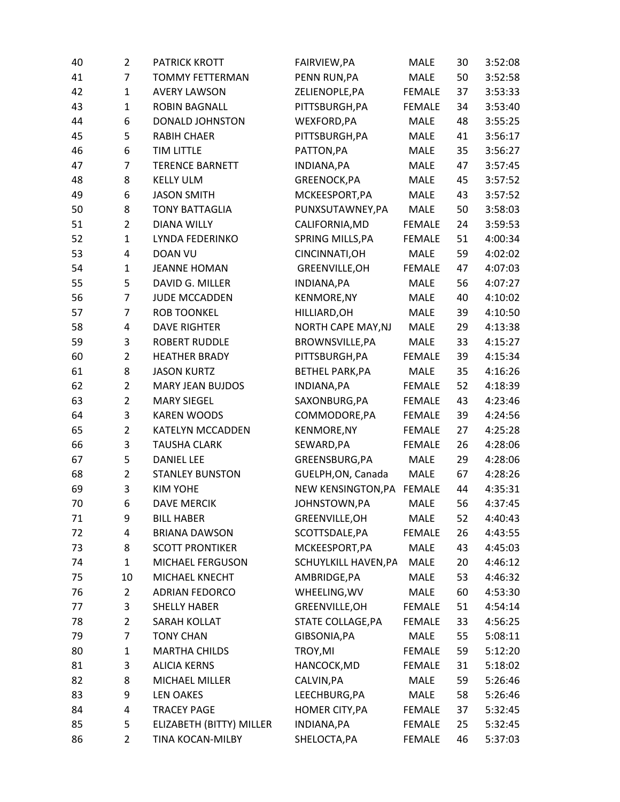| 40 | $\overline{2}$ | PATRICK KROTT            | FAIRVIEW, PA           | MALE          | 30 | 3:52:08 |
|----|----------------|--------------------------|------------------------|---------------|----|---------|
| 41 | $\overline{7}$ | <b>TOMMY FETTERMAN</b>   | PENN RUN, PA           | <b>MALE</b>   | 50 | 3:52:58 |
| 42 | $\mathbf{1}$   | <b>AVERY LAWSON</b>      | ZELIENOPLE, PA         | <b>FEMALE</b> | 37 | 3:53:33 |
| 43 | $\mathbf{1}$   | <b>ROBIN BAGNALL</b>     | PITTSBURGH, PA         | <b>FEMALE</b> | 34 | 3:53:40 |
| 44 | 6              | <b>DONALD JOHNSTON</b>   | WEXFORD, PA            | <b>MALE</b>   | 48 | 3:55:25 |
| 45 | 5              | <b>RABIH CHAER</b>       | PITTSBURGH, PA         | <b>MALE</b>   | 41 | 3:56:17 |
| 46 | 6              | <b>TIM LITTLE</b>        | PATTON, PA             | <b>MALE</b>   | 35 | 3:56:27 |
| 47 | $\overline{7}$ | <b>TERENCE BARNETT</b>   | INDIANA, PA            | <b>MALE</b>   | 47 | 3:57:45 |
| 48 | 8              | <b>KELLY ULM</b>         | GREENOCK, PA           | <b>MALE</b>   | 45 | 3:57:52 |
| 49 | 6              | <b>JASON SMITH</b>       | MCKEESPORT, PA         | <b>MALE</b>   | 43 | 3:57:52 |
| 50 | 8              | <b>TONY BATTAGLIA</b>    | PUNXSUTAWNEY, PA       | <b>MALE</b>   | 50 | 3:58:03 |
| 51 | $\overline{2}$ | <b>DIANA WILLY</b>       | CALIFORNIA, MD         | <b>FEMALE</b> | 24 | 3:59:53 |
| 52 | $\mathbf{1}$   | LYNDA FEDERINKO          | SPRING MILLS, PA       | <b>FEMALE</b> | 51 | 4:00:34 |
| 53 | $\overline{4}$ | <b>DOAN VU</b>           | CINCINNATI, OH         | <b>MALE</b>   | 59 | 4:02:02 |
| 54 | $\mathbf{1}$   | <b>JEANNE HOMAN</b>      | GREENVILLE, OH         | <b>FEMALE</b> | 47 | 4:07:03 |
| 55 | 5              | DAVID G. MILLER          | INDIANA, PA            | <b>MALE</b>   | 56 | 4:07:27 |
| 56 | $\overline{7}$ | <b>JUDE MCCADDEN</b>     | <b>KENMORE, NY</b>     | <b>MALE</b>   | 40 | 4:10:02 |
| 57 | 7              | <b>ROB TOONKEL</b>       | HILLIARD, OH           | <b>MALE</b>   | 39 | 4:10:50 |
| 58 | $\overline{4}$ | <b>DAVE RIGHTER</b>      | NORTH CAPE MAY, NJ     | <b>MALE</b>   | 29 | 4:13:38 |
| 59 | 3              | <b>ROBERT RUDDLE</b>     | BROWNSVILLE, PA        | <b>MALE</b>   | 33 | 4:15:27 |
| 60 | $\overline{2}$ | <b>HEATHER BRADY</b>     | PITTSBURGH, PA         | <b>FEMALE</b> | 39 | 4:15:34 |
| 61 | 8              | <b>JASON KURTZ</b>       | <b>BETHEL PARK, PA</b> | <b>MALE</b>   | 35 | 4:16:26 |
| 62 | $\overline{2}$ | <b>MARY JEAN BUJDOS</b>  | INDIANA, PA            | <b>FEMALE</b> | 52 | 4:18:39 |
| 63 | $\overline{2}$ | <b>MARY SIEGEL</b>       | SAXONBURG, PA          | <b>FEMALE</b> | 43 | 4:23:46 |
| 64 | 3              | <b>KAREN WOODS</b>       | COMMODORE, PA          | <b>FEMALE</b> | 39 | 4:24:56 |
| 65 | $\overline{2}$ | <b>KATELYN MCCADDEN</b>  | <b>KENMORE, NY</b>     | <b>FEMALE</b> | 27 | 4:25:28 |
| 66 | 3              | <b>TAUSHA CLARK</b>      | SEWARD, PA             | <b>FEMALE</b> | 26 | 4:28:06 |
| 67 | 5              | <b>DANIEL LEE</b>        | GREENSBURG, PA         | <b>MALE</b>   | 29 | 4:28:06 |
| 68 | $\overline{2}$ | <b>STANLEY BUNSTON</b>   | GUELPH, ON, Canada     | <b>MALE</b>   | 67 | 4:28:26 |
| 69 | 3              | <b>KIM YOHE</b>          | NEW KENSINGTON, PA     | <b>FEMALE</b> | 44 | 4:35:31 |
| 70 | 6              | <b>DAVE MERCIK</b>       | JOHNSTOWN,PA           | <b>MALE</b>   | 56 | 4:37:45 |
| 71 | 9              | <b>BILL HABER</b>        | GREENVILLE, OH         | <b>MALE</b>   | 52 | 4:40:43 |
| 72 | 4              | <b>BRIANA DAWSON</b>     | SCOTTSDALE, PA         | <b>FEMALE</b> | 26 | 4:43:55 |
| 73 | 8              | <b>SCOTT PRONTIKER</b>   | MCKEESPORT, PA         | <b>MALE</b>   | 43 | 4:45:03 |
| 74 | $\mathbf{1}$   | <b>MICHAEL FERGUSON</b>  | SCHUYLKILL HAVEN, PA   | <b>MALE</b>   | 20 | 4:46:12 |
| 75 | 10             | MICHAEL KNECHT           | AMBRIDGE, PA           | <b>MALE</b>   | 53 | 4:46:32 |
| 76 | $\overline{2}$ | <b>ADRIAN FEDORCO</b>    | WHEELING, WV           | <b>MALE</b>   | 60 | 4:53:30 |
| 77 | 3              | <b>SHELLY HABER</b>      | GREENVILLE, OH         | <b>FEMALE</b> | 51 | 4:54:14 |
| 78 | $\overline{2}$ | SARAH KOLLAT             | STATE COLLAGE, PA      | <b>FEMALE</b> | 33 | 4:56:25 |
| 79 | 7              | <b>TONY CHAN</b>         | GIBSONIA, PA           | MALE          | 55 | 5:08:11 |
| 80 | $\mathbf{1}$   | <b>MARTHA CHILDS</b>     | TROY, MI               | <b>FEMALE</b> | 59 | 5:12:20 |
| 81 | 3              | <b>ALICIA KERNS</b>      | HANCOCK, MD            | <b>FEMALE</b> | 31 | 5:18:02 |
| 82 | 8              | <b>MICHAEL MILLER</b>    | CALVIN, PA             | <b>MALE</b>   | 59 | 5:26:46 |
| 83 | 9              | <b>LEN OAKES</b>         | LEECHBURG, PA          | <b>MALE</b>   | 58 | 5:26:46 |
| 84 | 4              | <b>TRACEY PAGE</b>       | HOMER CITY, PA         | <b>FEMALE</b> | 37 | 5:32:45 |
| 85 | 5              | ELIZABETH (BITTY) MILLER | INDIANA, PA            | <b>FEMALE</b> | 25 | 5:32:45 |
| 86 | $\overline{2}$ | TINA KOCAN-MILBY         | SHELOCTA, PA           | <b>FEMALE</b> | 46 | 5:37:03 |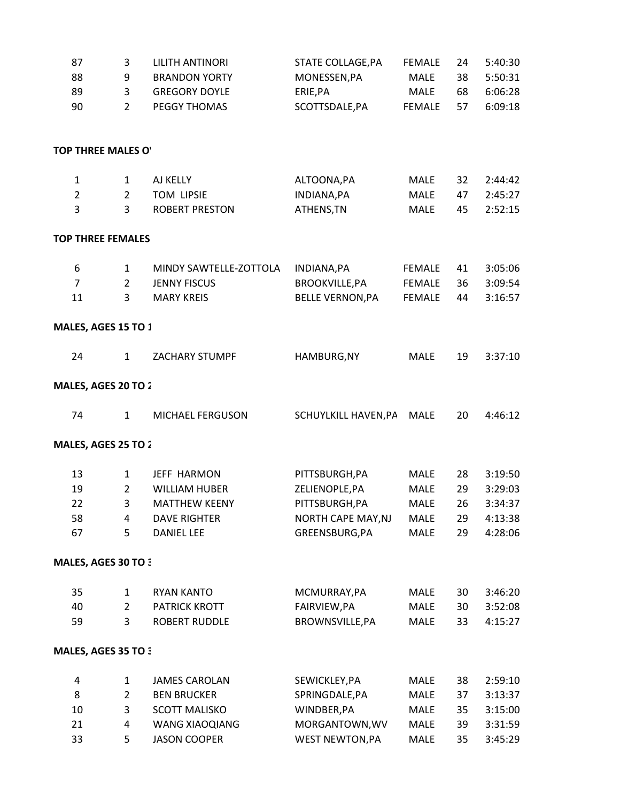| 87                         | 3              | <b>LILITH ANTINORI</b>  | STATE COLLAGE, PA       | <b>FEMALE</b> | 24 | 5:40:30 |
|----------------------------|----------------|-------------------------|-------------------------|---------------|----|---------|
| 88                         | 9              | <b>BRANDON YORTY</b>    | MONESSEN, PA            | <b>MALE</b>   | 38 | 5:50:31 |
| 89                         | 3              | <b>GREGORY DOYLE</b>    | ERIE, PA                | MALE          | 68 | 6:06:28 |
| 90                         | $\overline{2}$ | PEGGY THOMAS            | SCOTTSDALE, PA          | <b>FEMALE</b> | 57 | 6:09:18 |
| <b>TOP THREE MALES O'</b>  |                |                         |                         |               |    |         |
| $\mathbf{1}$               | $\mathbf{1}$   | AJ KELLY                | ALTOONA, PA             | <b>MALE</b>   | 32 | 2:44:42 |
| $\overline{2}$             | $\overline{2}$ | TOM LIPSIE              | INDIANA, PA             | MALE          | 47 | 2:45:27 |
| 3                          | $\overline{3}$ | <b>ROBERT PRESTON</b>   | ATHENS, TN              | <b>MALE</b>   | 45 | 2:52:15 |
| <b>TOP THREE FEMALES</b>   |                |                         |                         |               |    |         |
| 6                          | 1              | MINDY SAWTELLE-ZOTTOLA  | INDIANA, PA             | <b>FEMALE</b> | 41 | 3:05:06 |
| $\overline{7}$             | $\overline{2}$ | <b>JENNY FISCUS</b>     | <b>BROOKVILLE, PA</b>   | <b>FEMALE</b> | 36 | 3:09:54 |
| 11                         | 3              | <b>MARY KREIS</b>       | <b>BELLE VERNON, PA</b> | <b>FEMALE</b> | 44 | 3:16:57 |
| MALES, AGES 15 TO 1        |                |                         |                         |               |    |         |
| 24                         | $\mathbf{1}$   | <b>ZACHARY STUMPF</b>   | HAMBURG, NY             | <b>MALE</b>   | 19 | 3:37:10 |
| <b>MALES, AGES 20 TO 2</b> |                |                         |                         |               |    |         |
| 74                         | $\mathbf{1}$   | <b>MICHAEL FERGUSON</b> | SCHUYLKILL HAVEN, PA    | <b>MALE</b>   | 20 | 4:46:12 |
| MALES, AGES 25 TO 2        |                |                         |                         |               |    |         |
| 13                         | $\mathbf{1}$   | JEFF HARMON             | PITTSBURGH, PA          | <b>MALE</b>   | 28 | 3:19:50 |
| 19                         | $\overline{2}$ | <b>WILLIAM HUBER</b>    | ZELIENOPLE, PA          | <b>MALE</b>   | 29 | 3:29:03 |
| 22                         | 3              | <b>MATTHEW KEENY</b>    | PITTSBURGH, PA          | <b>MALE</b>   | 26 | 3:34:37 |
| 58                         | 4              | <b>DAVE RIGHTER</b>     | NORTH CAPE MAY, NJ      | <b>MALE</b>   | 29 | 4:13:38 |
| 67                         | 5              | <b>DANIEL LEE</b>       | GREENSBURG, PA          | <b>MALE</b>   | 29 | 4:28:06 |
| <b>MALES, AGES 30 TO 3</b> |                |                         |                         |               |    |         |
| 35                         | $\mathbf{1}$   | <b>RYAN KANTO</b>       | MCMURRAY, PA            | <b>MALE</b>   | 30 | 3:46:20 |
| 40                         | $\overline{2}$ | PATRICK KROTT           | FAIRVIEW, PA            | MALE          | 30 | 3:52:08 |
| 59                         | 3              | <b>ROBERT RUDDLE</b>    | BROWNSVILLE, PA         | <b>MALE</b>   | 33 | 4:15:27 |
| <b>MALES, AGES 35 TO 3</b> |                |                         |                         |               |    |         |
| 4                          | $\mathbf{1}$   | <b>JAMES CAROLAN</b>    | SEWICKLEY, PA           | <b>MALE</b>   | 38 | 2:59:10 |
| 8                          | $\overline{2}$ | <b>BEN BRUCKER</b>      | SPRINGDALE, PA          | <b>MALE</b>   | 37 | 3:13:37 |
| 10                         | 3              | <b>SCOTT MALISKO</b>    | WINDBER, PA             | MALE          | 35 | 3:15:00 |
| 21                         | 4              | WANG XIAOQIANG          | MORGANTOWN, WV          | <b>MALE</b>   | 39 | 3:31:59 |
| 33                         | 5              | <b>JASON COOPER</b>     | <b>WEST NEWTON, PA</b>  | <b>MALE</b>   | 35 | 3:45:29 |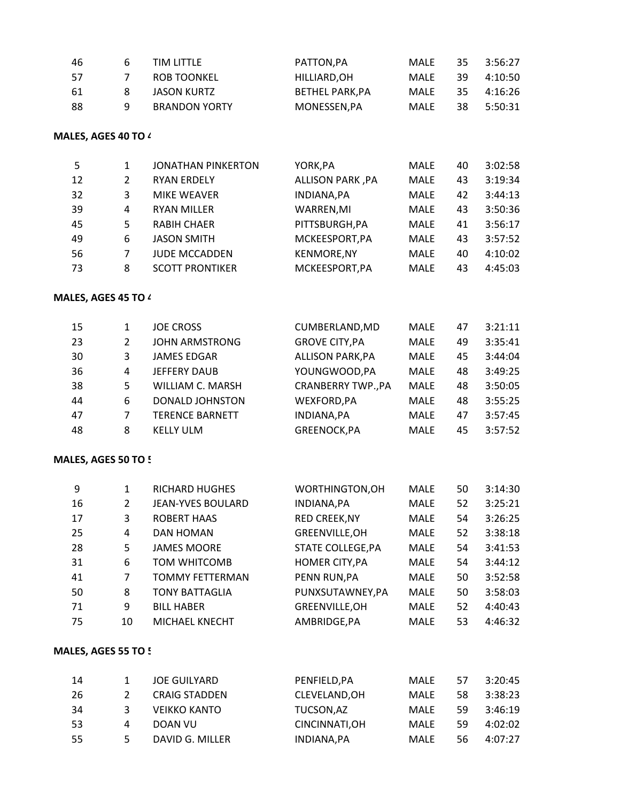| 46  | h | <b>TIM LITTLE</b>    | PATTON.PA             | MALE | 35  | 3:56:27 |
|-----|---|----------------------|-----------------------|------|-----|---------|
| -57 | 7 | ROB TOONKEL          | HILLIARD.OH           | MALE | 39. | 4:10:50 |
| -61 | 8 | JASON KURTZ          | <b>BETHEL PARK.PA</b> | MALE | 35. | 4:16:26 |
| -88 | q | <b>BRANDON YORTY</b> | MONESSEN.PA           | MALF | 38. | 5:50:31 |

## **MALES, AGES 40 TO 44:**

| 5  |   | <b>JONATHAN PINKERTON</b> | YORK, PA                | <b>MALE</b> | 40 | 3:02:58 |
|----|---|---------------------------|-------------------------|-------------|----|---------|
| 12 |   | <b>RYAN ERDELY</b>        | <b>ALLISON PARK, PA</b> | <b>MALE</b> | 43 | 3:19:34 |
| 32 | 3 | <b>MIKE WEAVER</b>        | INDIANA, PA             | MALE        | 42 | 3:44:13 |
| 39 | 4 | <b>RYAN MILLER</b>        | WARREN, MI              | MALE        | 43 | 3:50:36 |
| 45 | 5 | <b>RABIH CHAER</b>        | PITTSBURGH, PA          | MALE        | 41 | 3:56:17 |
| 49 | 6 | <b>JASON SMITH</b>        | MCKEESPORT, PA          | MALE        | 43 | 3:57:52 |
| 56 |   | <b>JUDE MCCADDEN</b>      | <b>KENMORE, NY</b>      | MALE        | 40 | 4:10:02 |
| 73 | 8 | <b>SCOTT PRONTIKER</b>    | MCKEESPORT, PA          | MALE        | 43 | 4:45:03 |

## **MALES, AGES 45 TO 49:**

| 15 |    | <b>JOE CROSS</b>       | CUMBERLAND, MD            | <b>MALE</b> | 47 | 3:21:11 |
|----|----|------------------------|---------------------------|-------------|----|---------|
| 23 | 2  | <b>JOHN ARMSTRONG</b>  | <b>GROVE CITY, PA</b>     | <b>MALE</b> | 49 | 3:35:41 |
| 30 | 3  | <b>JAMES EDGAR</b>     | <b>ALLISON PARK, PA</b>   | <b>MALE</b> | 45 | 3:44:04 |
| 36 | 4  | <b>JEFFERY DAUB</b>    | YOUNGWOOD, PA             | <b>MALE</b> | 48 | 3:49:25 |
| 38 | 5. | WILLIAM C. MARSH       | <b>CRANBERRY TWP., PA</b> | <b>MALE</b> | 48 | 3:50:05 |
| 44 | 6  | <b>DONALD JOHNSTON</b> | WEXFORD, PA               | <b>MALE</b> | 48 | 3:55:25 |
| 47 |    | <b>TERENCE BARNETT</b> | INDIANA, PA               | <b>MALE</b> | 47 | 3:57:45 |
| 48 | 8  | <b>KELLY ULM</b>       | GREENOCK, PA              | <b>MALE</b> | 45 | 3:57:52 |

## **MALES, AGES 50 TO 5**

| 9  | 1  | <b>RICHARD HUGHES</b>    | WORTHINGTON, OH          | <b>MALE</b> | 50 | 3:14:30 |
|----|----|--------------------------|--------------------------|-------------|----|---------|
| 16 | 2  | <b>JEAN-YVES BOULARD</b> | INDIANA, PA              | <b>MALE</b> | 52 | 3:25:21 |
| 17 | 3  | <b>ROBERT HAAS</b>       | <b>RED CREEK, NY</b>     | <b>MALE</b> | 54 | 3:26:25 |
| 25 | 4  | DAN HOMAN                | GREENVILLE, OH           | MALE        | 52 | 3:38:18 |
| 28 | 5  | <b>JAMES MOORE</b>       | <b>STATE COLLEGE, PA</b> | MALE        | 54 | 3:41:53 |
| 31 | 6  | TOM WHITCOMB             | <b>HOMER CITY, PA</b>    | MALE        | 54 | 3:44:12 |
| 41 | 7  | <b>TOMMY FETTERMAN</b>   | PENN RUN, PA             | MALE        | 50 | 3:52:58 |
| 50 | 8  | <b>TONY BATTAGLIA</b>    | PUNXSUTAWNEY, PA         | <b>MALE</b> | 50 | 3:58:03 |
| 71 | 9  | <b>BILL HABER</b>        | GREENVILLE, OH           | MALE        | 52 | 4:40:43 |
| 75 | 10 | MICHAEL KNECHT           | AMBRIDGE, PA             | MALE        | 53 | 4:46:32 |

#### **MALES, AGES 55 TO 5**

| -14 |    | JOE GUILYARD         | PENFIELD.PA    | MALE        | 57 | 3:20:45 |
|-----|----|----------------------|----------------|-------------|----|---------|
| -26 |    | <b>CRAIG STADDEN</b> | CLEVELAND.OH   | MALE        | 58 | 3:38:23 |
| -34 |    | <b>VEIKKO KANTO</b>  | TUCSON.AZ      | <b>MALF</b> | 59 | 3:46:19 |
| -53 | 4  | DOAN VU              | CINCINNATI, OH | MALE        | 59 | 4:02:02 |
| -55 | 5. | DAVID G. MILLER      | INDIANA, PA    | MALE        | 56 | 4:07:27 |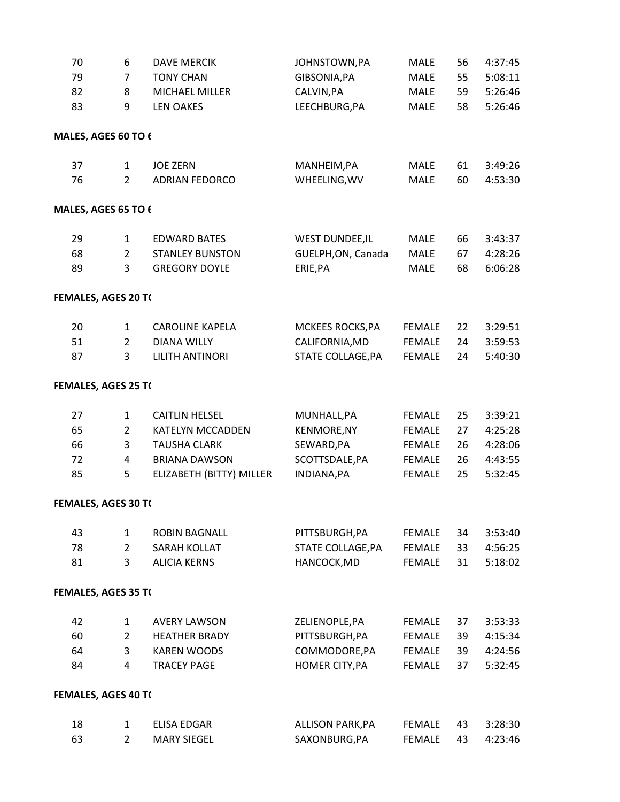| 70                         | 6              | <b>DAVE MERCIK</b>       | JOHNSTOWN, PA           | <b>MALE</b>   | 56 | 4:37:45 |
|----------------------------|----------------|--------------------------|-------------------------|---------------|----|---------|
| 79                         | $\overline{7}$ | <b>TONY CHAN</b>         | GIBSONIA, PA            | <b>MALE</b>   | 55 | 5:08:11 |
| 82                         | 8              | MICHAEL MILLER           | CALVIN, PA              | MALE          | 59 | 5:26:46 |
| 83                         | 9              | <b>LEN OAKES</b>         | LEECHBURG, PA           | <b>MALE</b>   | 58 | 5:26:46 |
| MALES, AGES 60 TO $\ell$   |                |                          |                         |               |    |         |
| 37                         | $\mathbf{1}$   | <b>JOE ZERN</b>          | MANHEIM, PA             | <b>MALE</b>   | 61 | 3:49:26 |
| 76                         | $\overline{2}$ | <b>ADRIAN FEDORCO</b>    | WHEELING, WV            | <b>MALE</b>   | 60 | 4:53:30 |
| MALES, AGES 65 TO 6        |                |                          |                         |               |    |         |
| 29                         | $\mathbf{1}$   | <b>EDWARD BATES</b>      | <b>WEST DUNDEE, IL</b>  | <b>MALE</b>   | 66 | 3:43:37 |
| 68                         | $\overline{2}$ | <b>STANLEY BUNSTON</b>   | GUELPH, ON, Canada      | <b>MALE</b>   | 67 | 4:28:26 |
| 89                         | 3              | <b>GREGORY DOYLE</b>     | ERIE, PA                | <b>MALE</b>   | 68 | 6:06:28 |
| FEMALES, AGES 20 TO        |                |                          |                         |               |    |         |
| 20                         | $\mathbf{1}$   | <b>CAROLINE KAPELA</b>   | MCKEES ROCKS, PA        | <b>FEMALE</b> | 22 | 3:29:51 |
| 51                         | $\overline{2}$ | <b>DIANA WILLY</b>       | CALIFORNIA, MD          | <b>FEMALE</b> | 24 | 3:59:53 |
| 87                         | 3              | <b>LILITH ANTINORI</b>   | STATE COLLAGE, PA       | <b>FEMALE</b> | 24 | 5:40:30 |
| FEMALES, AGES 25 TO        |                |                          |                         |               |    |         |
| 27                         | 1              | <b>CAITLIN HELSEL</b>    | MUNHALL, PA             | <b>FEMALE</b> | 25 | 3:39:21 |
| 65                         | $\overline{2}$ | <b>KATELYN MCCADDEN</b>  | <b>KENMORE, NY</b>      | <b>FEMALE</b> | 27 | 4:25:28 |
| 66                         | 3              | <b>TAUSHA CLARK</b>      | SEWARD, PA              | <b>FEMALE</b> | 26 | 4:28:06 |
| 72                         | 4              | <b>BRIANA DAWSON</b>     | SCOTTSDALE, PA          | <b>FEMALE</b> | 26 | 4:43:55 |
| 85                         | 5              | ELIZABETH (BITTY) MILLER | INDIANA, PA             | <b>FEMALE</b> | 25 | 5:32:45 |
| FEMALES, AGES 30 TO        |                |                          |                         |               |    |         |
| 43                         | $\mathbf{1}$   | <b>ROBIN BAGNALL</b>     | PITTSBURGH, PA          | <b>FEMALE</b> | 34 | 3:53:40 |
| 78                         | $\overline{2}$ | SARAH KOLLAT             | STATE COLLAGE, PA       | <b>FEMALE</b> | 33 | 4:56:25 |
| 81                         | 3              | <b>ALICIA KERNS</b>      | HANCOCK, MD             | <b>FEMALE</b> | 31 | 5:18:02 |
| <b>FEMALES, AGES 35 TO</b> |                |                          |                         |               |    |         |
| 42                         | $\mathbf{1}$   | <b>AVERY LAWSON</b>      | ZELIENOPLE, PA          | <b>FEMALE</b> | 37 | 3:53:33 |
| 60                         | $\overline{2}$ | <b>HEATHER BRADY</b>     | PITTSBURGH, PA          | <b>FEMALE</b> | 39 | 4:15:34 |
| 64                         | 3              | <b>KAREN WOODS</b>       | COMMODORE, PA           | FEMALE        | 39 | 4:24:56 |
| 84                         | 4              | <b>TRACEY PAGE</b>       | HOMER CITY, PA          | <b>FEMALE</b> | 37 | 5:32:45 |
| FEMALES, AGES 40 TO        |                |                          |                         |               |    |         |
| 18                         | $\mathbf{1}$   | ELISA EDGAR              | <b>ALLISON PARK, PA</b> | FEMALE        | 43 | 3:28:30 |
| 63                         | $\overline{2}$ | <b>MARY SIEGEL</b>       | SAXONBURG, PA           | <b>FEMALE</b> | 43 | 4:23:46 |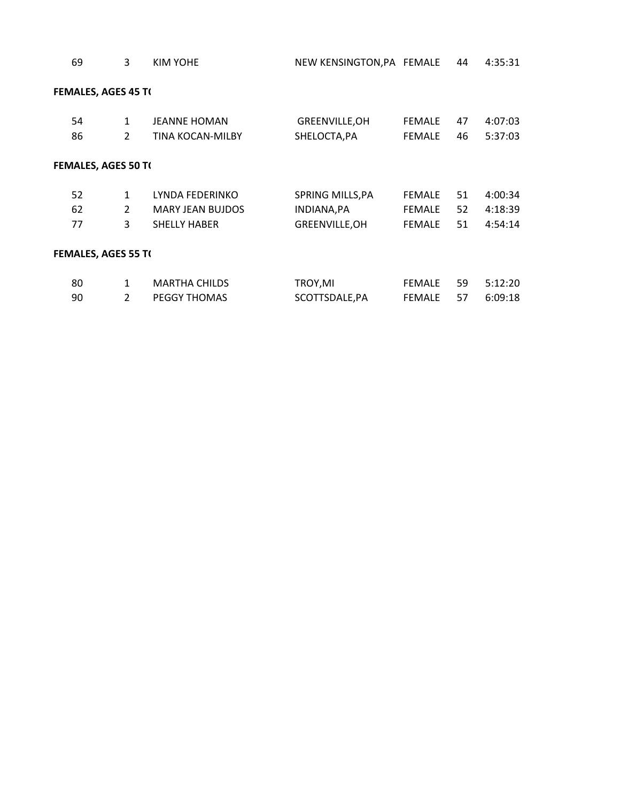| 69                         | 3              | KIM YOHE                | NEW KENSINGTON, PA FEMALE |               | 44 | 4:35:31 |
|----------------------------|----------------|-------------------------|---------------------------|---------------|----|---------|
| <b>FEMALES, AGES 45 T(</b> |                |                         |                           |               |    |         |
| 54                         | $\mathbf{1}$   | <b>JEANNE HOMAN</b>     | GREENVILLE, OH            | <b>FEMALE</b> | 47 | 4:07:03 |
| 86                         | $\overline{2}$ | <b>TINA KOCAN-MILBY</b> | SHELOCTA, PA              | <b>FEMALE</b> | 46 | 5:37:03 |
| <b>FEMALES, AGES 50 T(</b> |                |                         |                           |               |    |         |
| 52                         | $\mathbf{1}$   | LYNDA FEDERINKO         | SPRING MILLS, PA          | <b>FEMALE</b> | 51 | 4:00:34 |
| 62                         | 2              | <b>MARY JEAN BUJDOS</b> | INDIANA, PA               | <b>FEMALE</b> | 52 | 4:18:39 |
| 77                         | 3              | <b>SHELLY HABER</b>     | GREENVILLE, OH            | <b>FEMALE</b> | 51 | 4:54:14 |
| <b>FEMALES, AGES 55 T(</b> |                |                         |                           |               |    |         |
| 80                         | 1              | <b>MARTHA CHILDS</b>    | TROY,MI                   | <b>FEMALE</b> | 59 | 5:12:20 |

2 PEGGY THOMAS SCOTTSDALE,PA FEMALE 57 6:09:18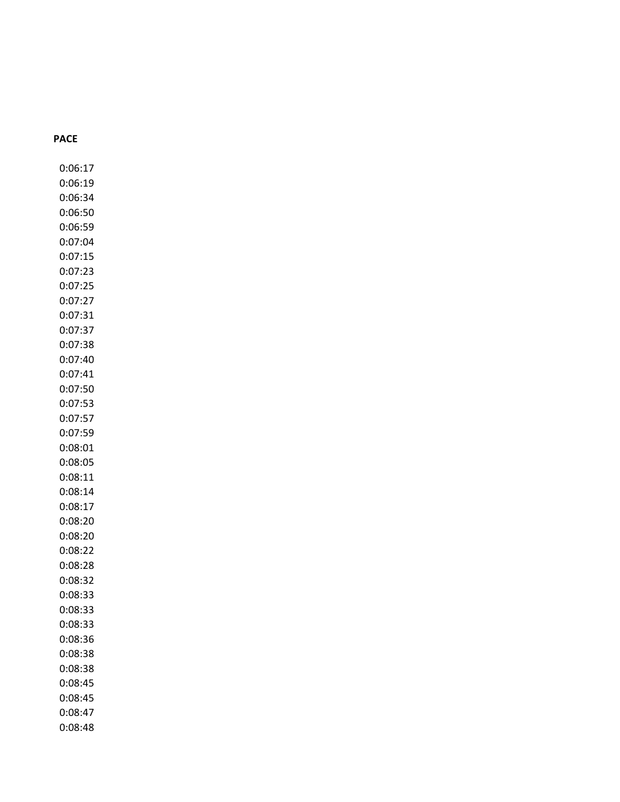#### **PACE**

0:06:17 0:06:19 0:06:34 0:06:50 0:06:59 0:07:04 0:07:15 0:07:23 0:07:25 0:07:27 0:07:31 0:07:37 0:07:38 0:07:40 0:07:41 0:07:50 0:07:53 0:07:57 0:07:59 0:08:01 0:08:05 0:08:11 0:08:14 0:08:17 0:08:20 0:08:20 0:08:22 0:08:28 0:08:32 0:08:33 0:08:33 0:08:33 0:08:36 0:08:38 0:08:38 0:08:45 0:08:45 0:08:47 0:08:48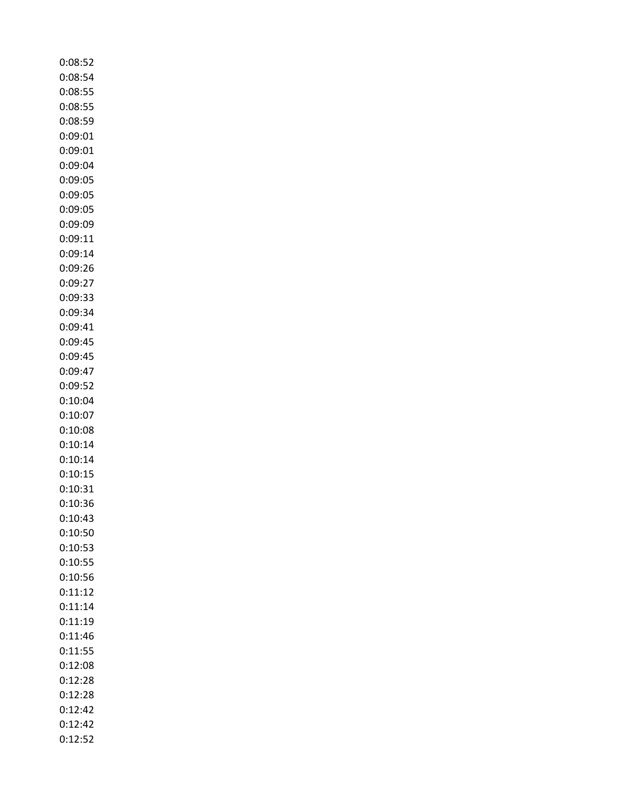| 0:08:54<br>0:08:55<br>0:08:55<br>0:08:59<br>0:09:01<br>0:09:01<br>0:09:04<br>0:09:05<br>0:09:05<br>0:09:05<br>0:09:09<br>0:09:11 |
|----------------------------------------------------------------------------------------------------------------------------------|
|                                                                                                                                  |
|                                                                                                                                  |
|                                                                                                                                  |
|                                                                                                                                  |
|                                                                                                                                  |
|                                                                                                                                  |
|                                                                                                                                  |
|                                                                                                                                  |
|                                                                                                                                  |
|                                                                                                                                  |
|                                                                                                                                  |
|                                                                                                                                  |
| 0:09:14                                                                                                                          |
| 0:09:26                                                                                                                          |
| 0:09:27                                                                                                                          |
| 0:09:33                                                                                                                          |
| 0:09:34                                                                                                                          |
| 0:09:41                                                                                                                          |
| 0:09:45                                                                                                                          |
| 0:09:45                                                                                                                          |
| 0:09:47                                                                                                                          |
| 0:09:52                                                                                                                          |
| 0:10:04                                                                                                                          |
| 0:10:07                                                                                                                          |
| 0:10:08                                                                                                                          |
| 0:10:14                                                                                                                          |
| 0:10:14                                                                                                                          |
| 0:10:15                                                                                                                          |
| 0:10:31                                                                                                                          |
|                                                                                                                                  |
| 0:10:36                                                                                                                          |
| 0:10:43                                                                                                                          |
| 0:10:50                                                                                                                          |
| 0:10:53                                                                                                                          |
| 0:10:55                                                                                                                          |
| 0:10:56                                                                                                                          |
| 0:11:12                                                                                                                          |
| 0:11:14                                                                                                                          |
| 0:11:19                                                                                                                          |
| 0:11:46                                                                                                                          |
| 0:11:55                                                                                                                          |
| 0:12:08                                                                                                                          |
|                                                                                                                                  |
| 0:12:28<br>0:12:28                                                                                                               |
|                                                                                                                                  |
| 0:12:42<br>0:12:42                                                                                                               |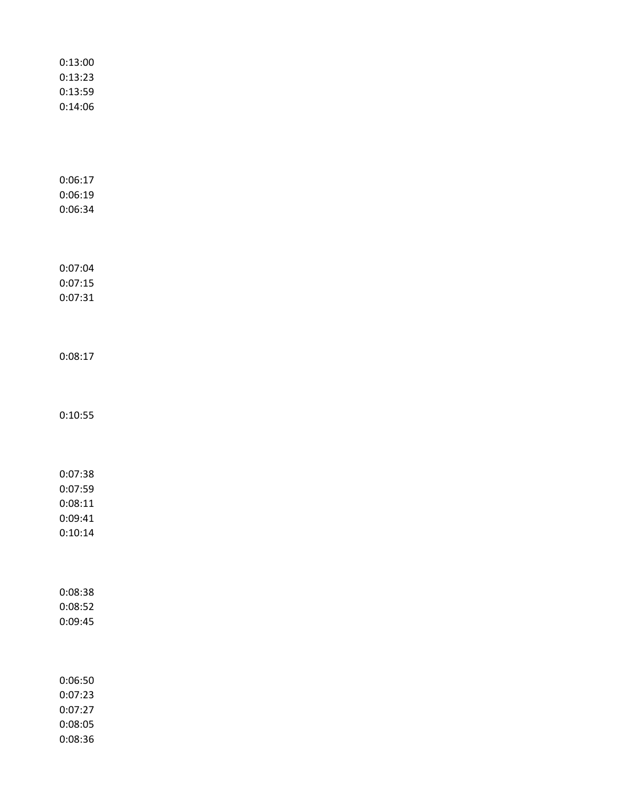| 0:13:00 |  |  |  |
|---------|--|--|--|
| 0:13:23 |  |  |  |
| 0:13:59 |  |  |  |
| 0:14:06 |  |  |  |
|         |  |  |  |
|         |  |  |  |
|         |  |  |  |
|         |  |  |  |
| 0:06:17 |  |  |  |
| 0:06:19 |  |  |  |
| 0:06:34 |  |  |  |
|         |  |  |  |
|         |  |  |  |
| 0:07:04 |  |  |  |
| 0:07:15 |  |  |  |
| 0:07:31 |  |  |  |
|         |  |  |  |
|         |  |  |  |
|         |  |  |  |
| 0:08:17 |  |  |  |
|         |  |  |  |
|         |  |  |  |
| 0:10:55 |  |  |  |
|         |  |  |  |
|         |  |  |  |
|         |  |  |  |
| 0:07:38 |  |  |  |
| 0:07:59 |  |  |  |
| 0:08:11 |  |  |  |
| 0:09:41 |  |  |  |
| 0:10:14 |  |  |  |
|         |  |  |  |
|         |  |  |  |
|         |  |  |  |
| 0:08:38 |  |  |  |
| 0:08:52 |  |  |  |
| 0:09:45 |  |  |  |
|         |  |  |  |
|         |  |  |  |
| 0:06:50 |  |  |  |
| 0:07:23 |  |  |  |
| 0:07:27 |  |  |  |
| 0:08:05 |  |  |  |
| 0:08:36 |  |  |  |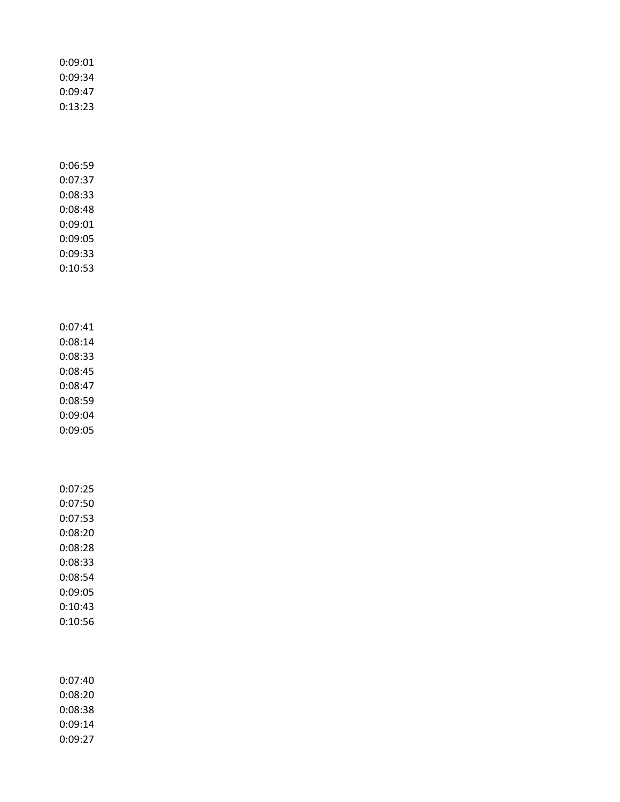| 0:09:34<br>0:09:47                                                                                         |  |
|------------------------------------------------------------------------------------------------------------|--|
| 0:13:23                                                                                                    |  |
| 0:06:59<br>0:07:37<br>0:08:33<br>0:08:48<br>0:09:01<br>0:09:05<br>0:09:33<br>0:10:53                       |  |
| 0:07:41<br>0:08:14<br>0:08:33<br>0:08:45<br>0:08:47<br>0:08:59<br>0:09:04<br>0:09:05                       |  |
| 0:07:25<br>0:07:50<br>0:07:53<br>0:08:20<br>0:08:28<br>0:08:33<br>0:08:54<br>0:09:05<br>0:10:43<br>0:10:56 |  |
| 0:07:40<br>0:08:20<br>0:08:38<br>0:09:14<br>0:09:27                                                        |  |

0:09:01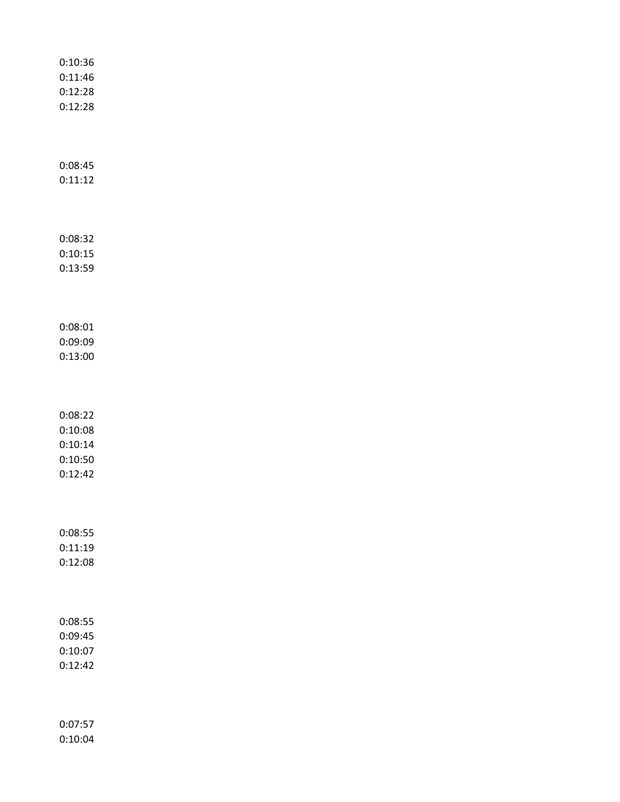| 0:10:36 |  |  |  |
|---------|--|--|--|
| 0:11:46 |  |  |  |
| 0:12:28 |  |  |  |
| 0:12:28 |  |  |  |
|         |  |  |  |
|         |  |  |  |
|         |  |  |  |
| 0:08:45 |  |  |  |
| 0:11:12 |  |  |  |
|         |  |  |  |
|         |  |  |  |
|         |  |  |  |
| 0:08:32 |  |  |  |
| 0:10:15 |  |  |  |
| 0:13:59 |  |  |  |
|         |  |  |  |
|         |  |  |  |
| 0:08:01 |  |  |  |
| 0:09:09 |  |  |  |
| 0:13:00 |  |  |  |
|         |  |  |  |
|         |  |  |  |
|         |  |  |  |
| 0:08:22 |  |  |  |
| 0:10:08 |  |  |  |
| 0:10:14 |  |  |  |
| 0:10:50 |  |  |  |
| 0:12:42 |  |  |  |
|         |  |  |  |
|         |  |  |  |
|         |  |  |  |
| 0:08:55 |  |  |  |
| 0:11:19 |  |  |  |
| 0:12:08 |  |  |  |
|         |  |  |  |
|         |  |  |  |
|         |  |  |  |
| 0:08:55 |  |  |  |
| 0:09:45 |  |  |  |
| 0:10:07 |  |  |  |
| 0:12:42 |  |  |  |
|         |  |  |  |
|         |  |  |  |
| 0:07:57 |  |  |  |
| 0:10:04 |  |  |  |
|         |  |  |  |